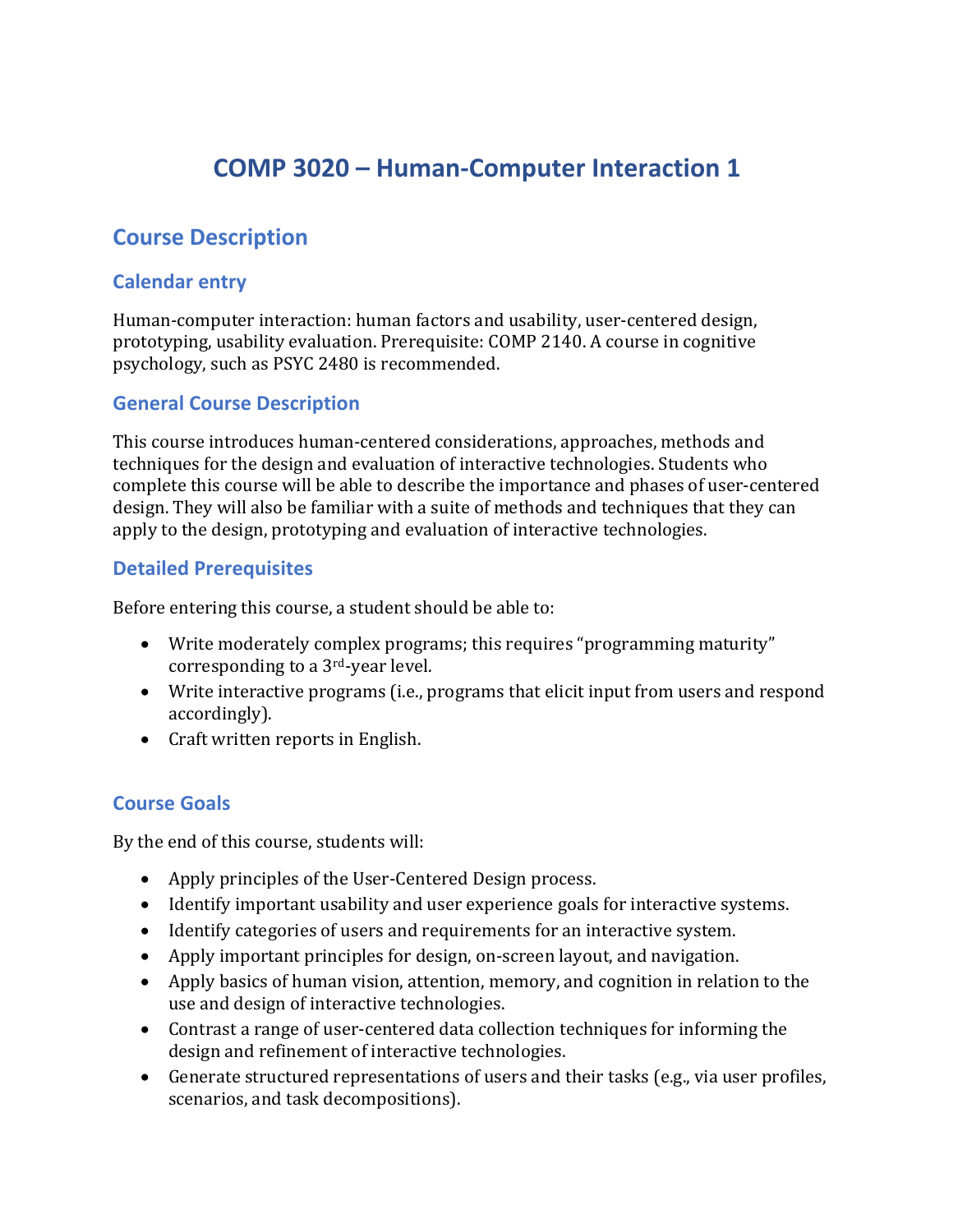# **COMP 3020 – Human-Computer Interaction 1**

## **Course Description**

#### **Calendar entry**

Human-computer interaction: human factors and usability, user-centered design, prototyping, usability evaluation. Prerequisite: COMP 2140. A course in cognitive psychology, such as PSYC 2480 is recommended.

## **General Course Description**

This course introduces human-centered considerations, approaches, methods and techniques for the design and evaluation of interactive technologies. Students who complete this course will be able to describe the importance and phases of user-centered design. They will also be familiar with a suite of methods and techniques that they can apply to the design, prototyping and evaluation of interactive technologies.

#### **Detailed Prerequisites**

Before entering this course, a student should be able to:

- Write moderately complex programs; this requires "programming maturity" corresponding to a  $3<sup>rd</sup>$ -year level.
- Write interactive programs (i.e., programs that elicit input from users and respond accordingly).
- Craft written reports in English.

#### **Course Goals**

By the end of this course, students will:

- Apply principles of the User-Centered Design process.
- Identify important usability and user experience goals for interactive systems.
- Identify categories of users and requirements for an interactive system.
- Apply important principles for design, on-screen layout, and navigation.
- Apply basics of human vision, attention, memory, and cognition in relation to the use and design of interactive technologies.
- Contrast a range of user-centered data collection techniques for informing the design and refinement of interactive technologies.
- Generate structured representations of users and their tasks (e.g., via user profiles, scenarios, and task decompositions).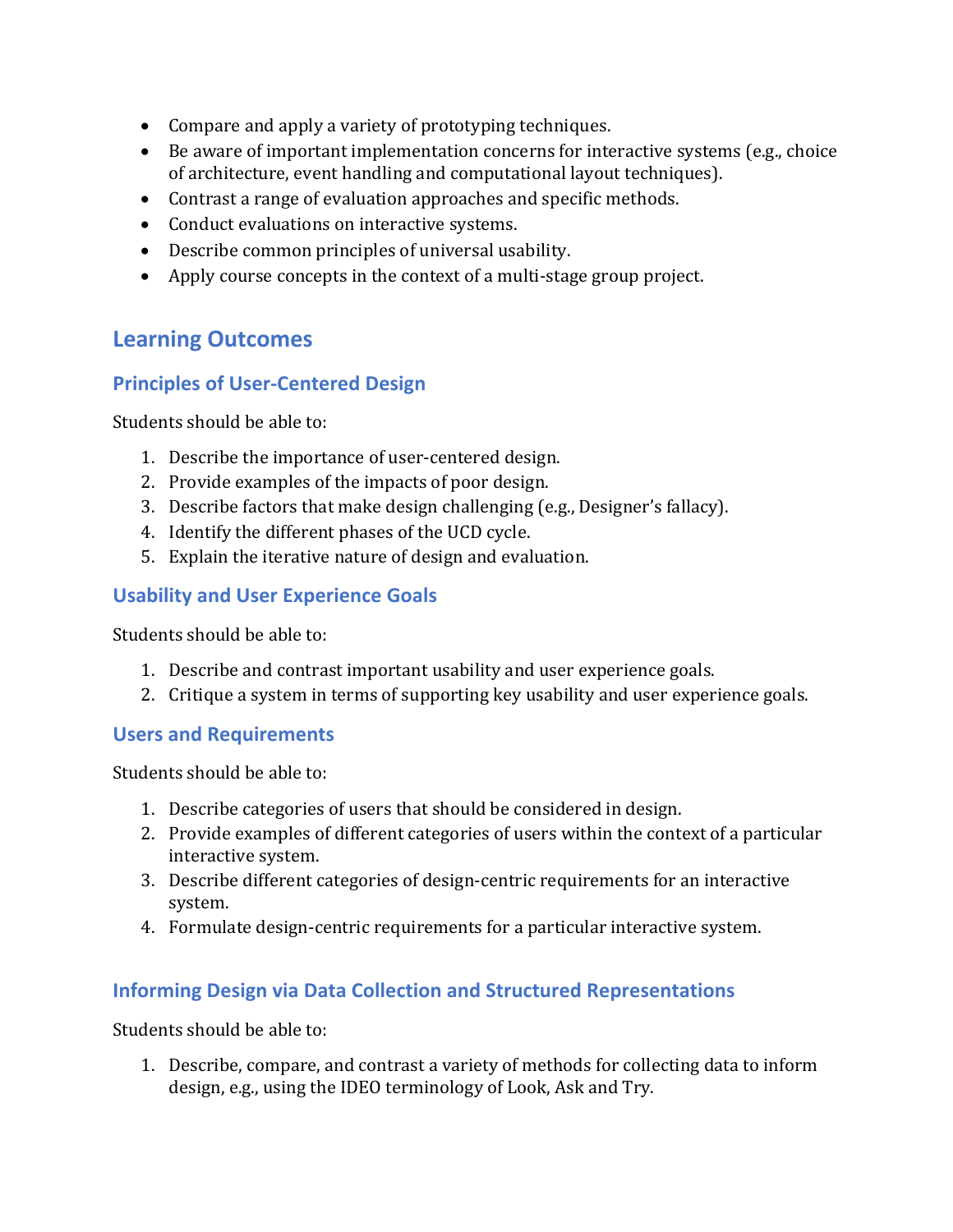- Compare and apply a variety of prototyping techniques.
- Be aware of important implementation concerns for interactive systems (e.g., choice of architecture, event handling and computational layout techniques).
- $\bullet$  Contrast a range of evaluation approaches and specific methods.
- Conduct evaluations on interactive systems.
- Describe common principles of universal usability.
- Apply course concepts in the context of a multi-stage group project.

## **Learning Outcomes**

## **Principles of User-Centered Design**

Students should be able to:

- 1. Describe the importance of user-centered design.
- 2. Provide examples of the impacts of poor design.
- 3. Describe factors that make design challenging (e.g., Designer's fallacy).
- 4. Identify the different phases of the UCD cycle.
- 5. Explain the iterative nature of design and evaluation.

## **Usability and User Experience Goals**

Students should be able to:

- 1. Describe and contrast important usability and user experience goals.
- 2. Critique a system in terms of supporting key usability and user experience goals.

#### **Users and Requirements**

Students should be able to:

- 1. Describe categories of users that should be considered in design.
- 2. Provide examples of different categories of users within the context of a particular interactive system.
- 3. Describe different categories of design-centric requirements for an interactive system.
- 4. Formulate design-centric requirements for a particular interactive system.

## **Informing Design via Data Collection and Structured Representations**

Students should be able to:

1. Describe, compare, and contrast a variety of methods for collecting data to inform design, e.g., using the IDEO terminology of Look, Ask and Try.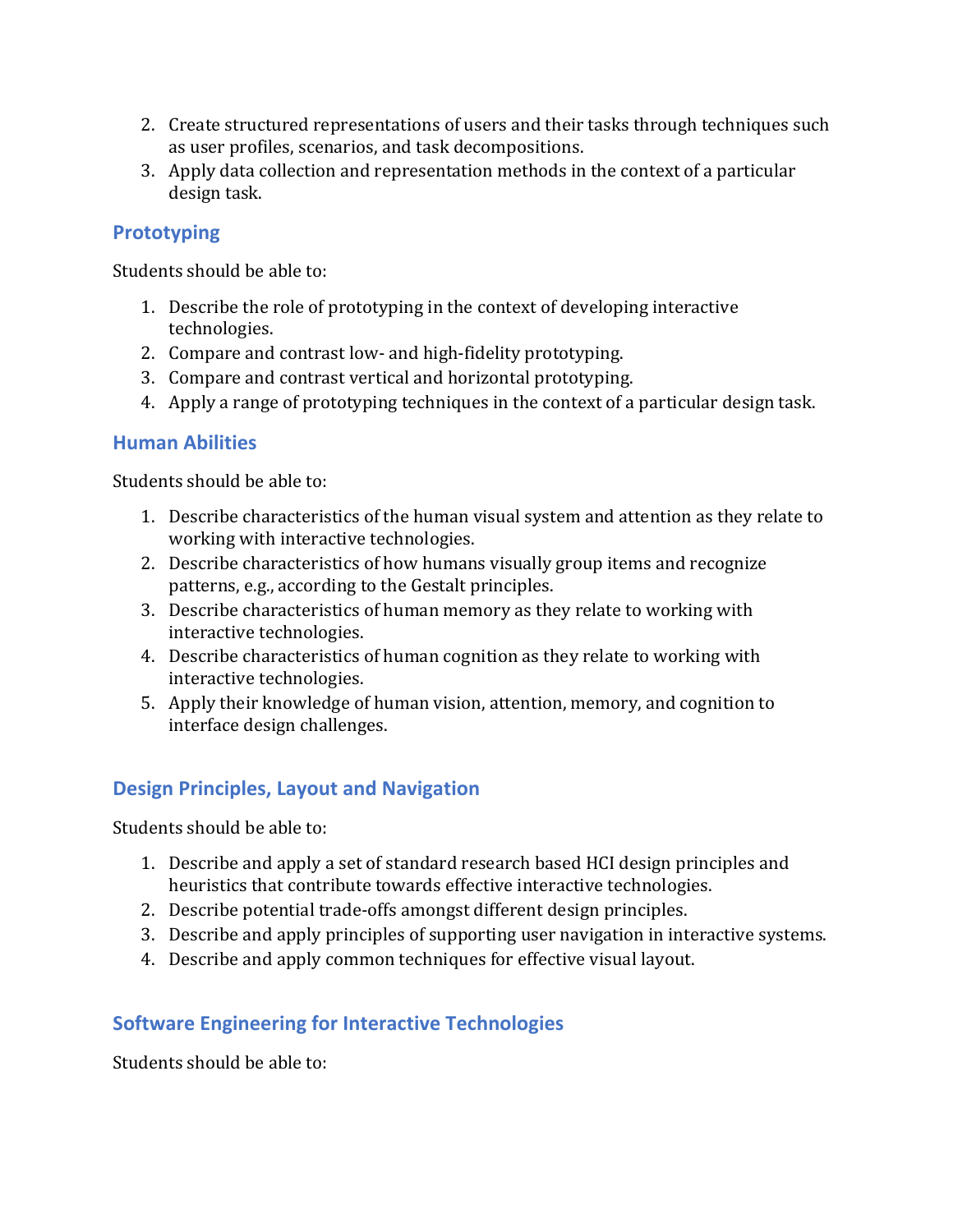- 2. Create structured representations of users and their tasks through techniques such as user profiles, scenarios, and task decompositions.
- 3. Apply data collection and representation methods in the context of a particular design task.

#### **Prototyping**

Students should be able to:

- 1. Describe the role of prototyping in the context of developing interactive technologies.
- 2. Compare and contrast low- and high-fidelity prototyping.
- 3. Compare and contrast vertical and horizontal prototyping.
- 4. Apply a range of prototyping techniques in the context of a particular design task.

#### **Human Abilities**

Students should be able to:

- 1. Describe characteristics of the human visual system and attention as they relate to working with interactive technologies.
- 2. Describe characteristics of how humans visually group items and recognize patterns, e.g., according to the Gestalt principles.
- 3. Describe characteristics of human memory as they relate to working with interactive technologies.
- 4. Describe characteristics of human cognition as they relate to working with interactive technologies.
- 5. Apply their knowledge of human vision, attention, memory, and cognition to interface design challenges.

## **Design Principles, Layout and Navigation**

Students should be able to:

- 1. Describe and apply a set of standard research based HCI design principles and heuristics that contribute towards effective interactive technologies.
- 2. Describe potential trade-offs amongst different design principles.
- 3. Describe and apply principles of supporting user navigation in interactive systems.
- 4. Describe and apply common techniques for effective visual layout.

## **Software Engineering for Interactive Technologies**

Students should be able to: